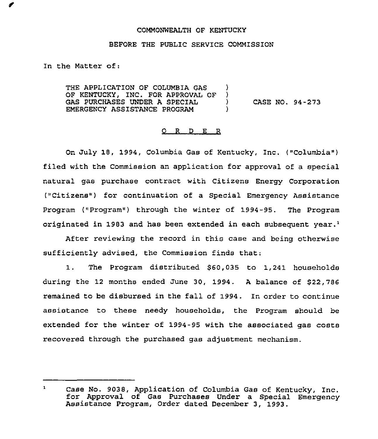## COMMONWEALTH OF KENTUCKY

## BEFORE THE PUBLIC SERVICE COMMISSION

In the Matter of:

THE APPLICATION OF COLUMBIA GAS ( )<br>OF KENTUCKY, INC. FOR APPROVAL OF ( ) OF KENTUCKY, INC. FOR APPROVAL OF )<br>GAS PURCHASES UNDER A SPECIAL GAS PURCHASES UNDER <sup>A</sup> SPECIAL ) CASE NO. 94-273 EMERGENCY ASSISTANCE PROGRAM )

## 0 <sup>R</sup> <sup>D</sup> E R

On July 18, 1994, Columbia Gas of Kentucky, Inc. ("Columbia") filed with the Commission an application for approval of a special natural gas purchase contract with Citizens Energy Corporation ("Citizens") for continuation of a Special Emergency Assistance Program ("Program") through the winter of 1994-95. The Program originated in 1983 and has been extended in each subsequent year.<sup>1</sup>

After reviewing the record in this case and being otherwise sufficiently advised, the Commission finds that:

1. The Program distributed \$60,035 to 1,241 households during the 12 months ended June 30, 1994. <sup>A</sup> balance of \$22,786 remained to be disbursed in the fall of 1994. In order to continue assistance to these needy households, the Program should be extended for the winter of 1994-95 with the associated gas costs recovered through the purchased gas adjustment mechanism.

 $\mathbf{1}$ Case No. 9038, Application of Columbia Gas of Kentucky, Inc. for Approval of Gas Purchases Under <sup>a</sup> Special Emergency Assistance Program, Order dated December 3, 1993.